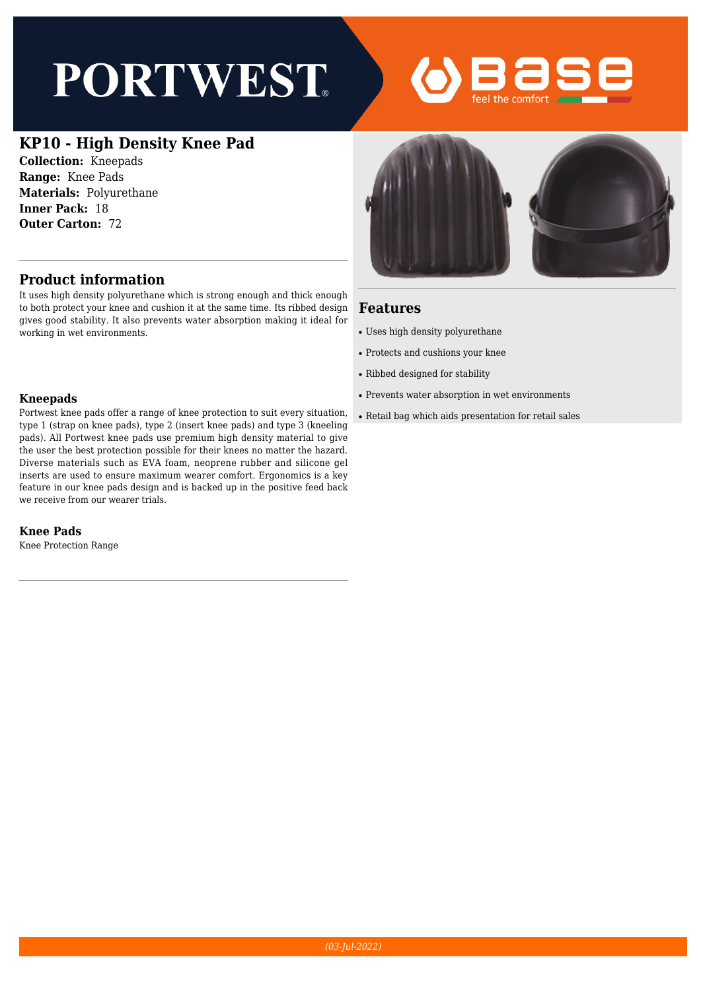# **PORTWEST**



## **KP10 - High Density Knee Pad**

**Collection:** Kneepads **Range:** Knee Pads **Materials:** Polyurethane **Inner Pack:** 18 **Outer Carton:** 72

### **Product information**

It uses high density polyurethane which is strong enough and thick enough to both protect your knee and cushion it at the same time. Its ribbed design gives good stability. It also prevents water absorption making it ideal for working in wet environments.

#### **Kneepads**

Portwest knee pads offer a range of knee protection to suit every situation, type 1 (strap on knee pads), type 2 (insert knee pads) and type 3 (kneeling pads). All Portwest knee pads use premium high density material to give the user the best protection possible for their knees no matter the hazard. Diverse materials such as EVA foam, neoprene rubber and silicone gel inserts are used to ensure maximum wearer comfort. Ergonomics is a key feature in our knee pads design and is backed up in the positive feed back we receive from our wearer trials.

#### **Knee Pads**

Knee Protection Range



#### **Features**

- Uses high density polyurethane
- Protects and cushions your knee
- Ribbed designed for stability
- Prevents water absorption in wet environments
- Retail bag which aids presentation for retail sales